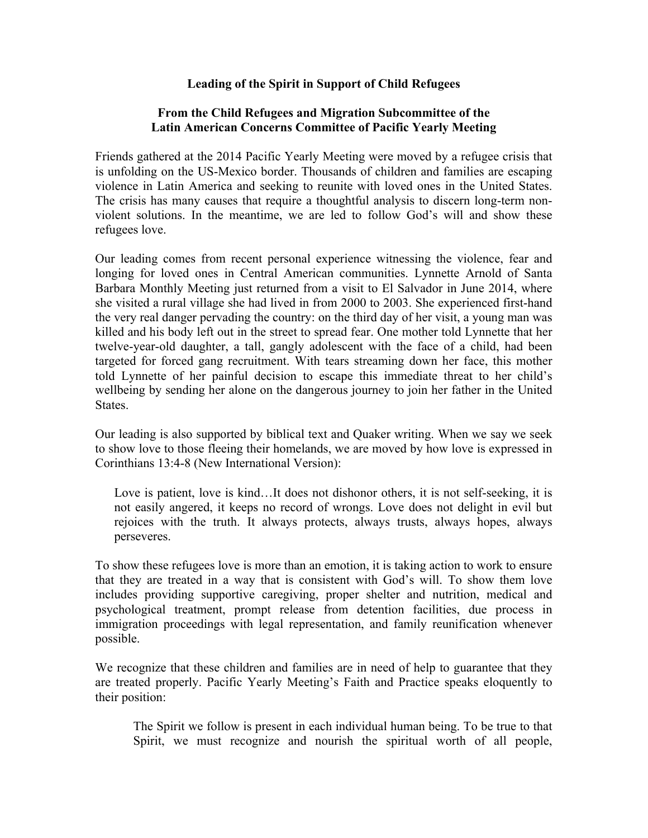## **Leading of the Spirit in Support of Child Refugees**

## **From the Child Refugees and Migration Subcommittee of the Latin American Concerns Committee of Pacific Yearly Meeting**

Friends gathered at the 2014 Pacific Yearly Meeting were moved by a refugee crisis that is unfolding on the US-Mexico border. Thousands of children and families are escaping violence in Latin America and seeking to reunite with loved ones in the United States. The crisis has many causes that require a thoughtful analysis to discern long-term nonviolent solutions. In the meantime, we are led to follow God's will and show these refugees love.

Our leading comes from recent personal experience witnessing the violence, fear and longing for loved ones in Central American communities. Lynnette Arnold of Santa Barbara Monthly Meeting just returned from a visit to El Salvador in June 2014, where she visited a rural village she had lived in from 2000 to 2003. She experienced first-hand the very real danger pervading the country: on the third day of her visit, a young man was killed and his body left out in the street to spread fear. One mother told Lynnette that her twelve-year-old daughter, a tall, gangly adolescent with the face of a child, had been targeted for forced gang recruitment. With tears streaming down her face, this mother told Lynnette of her painful decision to escape this immediate threat to her child's wellbeing by sending her alone on the dangerous journey to join her father in the United States.

Our leading is also supported by biblical text and Quaker writing. When we say we seek to show love to those fleeing their homelands, we are moved by how love is expressed in Corinthians 13:4-8 (New International Version):

Love is patient, love is kind...It does not dishonor others, it is not self-seeking, it is not easily angered, it keeps no record of wrongs. Love does not delight in evil but rejoices with the truth. It always protects, always trusts, always hopes, always perseveres.

To show these refugees love is more than an emotion, it is taking action to work to ensure that they are treated in a way that is consistent with God's will. To show them love includes providing supportive caregiving, proper shelter and nutrition, medical and psychological treatment, prompt release from detention facilities, due process in immigration proceedings with legal representation, and family reunification whenever possible.

We recognize that these children and families are in need of help to guarantee that they are treated properly. Pacific Yearly Meeting's Faith and Practice speaks eloquently to their position:

The Spirit we follow is present in each individual human being. To be true to that Spirit, we must recognize and nourish the spiritual worth of all people,